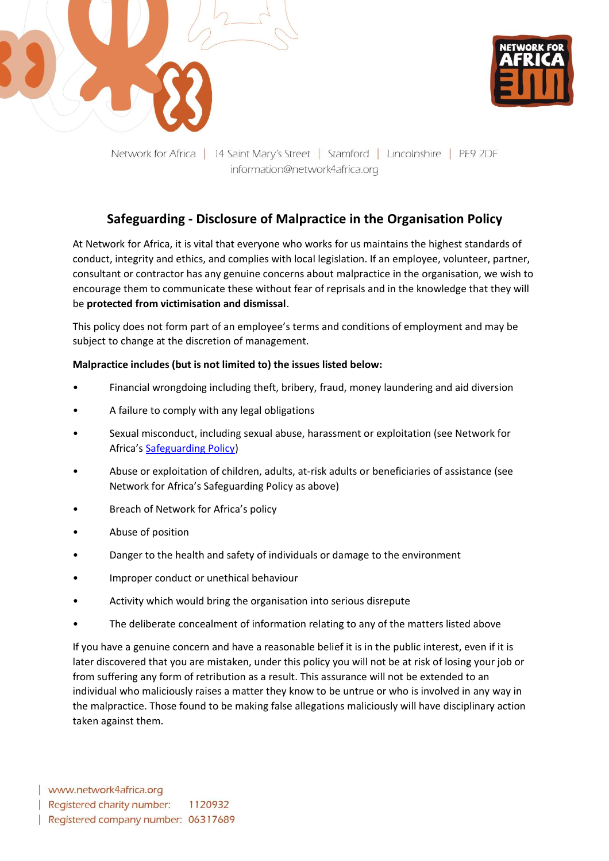



Network for Africa | 14 Saint Mary's Street | Stamford | Lincolnshire | PE9 2DF information@network4africa.org

## **Safeguarding - Disclosure of Malpractice in the Organisation Policy**

At Network for Africa, it is vital that everyone who works for us maintains the highest standards of conduct, integrity and ethics, and complies with local legislation. If an employee, volunteer, partner, consultant or contractor has any genuine concerns about malpractice in the organisation, we wish to encourage them to communicate these without fear of reprisals and in the knowledge that they will be **protected from victimisation and dismissal**.

This policy does not form part of an employee's terms and conditions of employment and may be subject to change at the discretion of management.

## **Malpractice includes (but is not limited to) the issues listed below:**

- Financial wrongdoing including theft, bribery, fraud, money laundering and aid diversion
- A failure to comply with any legal obligations
- Sexual misconduct, including sexual abuse, harassment or exploitation (see Network for Africa's [Safeguarding Policy\)](https://network4africa.org/wp-content/uploads/2022/06/safeguarding-policy.pdf)
- Abuse or exploitation of children, adults, at-risk adults or beneficiaries of assistance (see Network for Africa's Safeguarding Policy as above)
- Breach of Network for Africa's policy
- Abuse of position
- Danger to the health and safety of individuals or damage to the environment
- Improper conduct or unethical behaviour
- Activity which would bring the organisation into serious disrepute
- The deliberate concealment of information relating to any of the matters listed above

If you have a genuine concern and have a reasonable belief it is in the public interest, even if it is later discovered that you are mistaken, under this policy you will not be at risk of losing your job or from suffering any form of retribution as a result. This assurance will not be extended to an individual who maliciously raises a matter they know to be untrue or who is involved in any way in the malpractice. Those found to be making false allegations maliciously will have disciplinary action taken against them.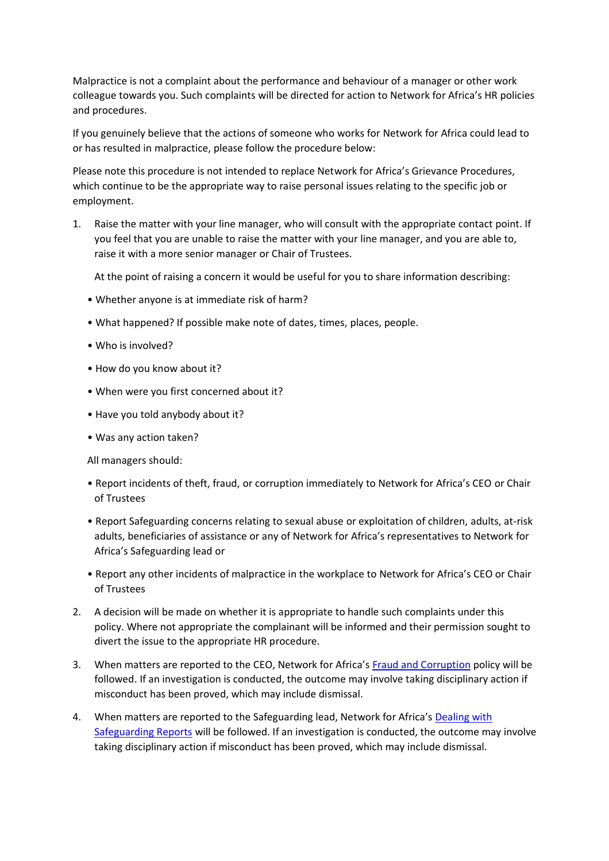Malpractice is not a complaint about the performance and behaviour of a manager or other work colleague towards you. Such complaints will be directed for action to Network for Africa's HR policies and procedures.

If you genuinely believe that the actions of someone who works for Network for Africa could lead to or has resulted in malpractice, please follow the procedure below:

Please note this procedure is not intended to replace Network for Africa's Grievance Procedures, which continue to be the appropriate way to raise personal issues relating to the specific job or employment.

1. Raise the matter with your line manager, who will consult with the appropriate contact point. If you feel that you are unable to raise the matter with your line manager, and you are able to, raise it with a more senior manager or Chair of Trustees.

At the point of raising a concern it would be useful for you to share information describing:

- Whether anyone is at immediate risk of harm?
- What happened? If possible make note of dates, times, places, people.
- Who is involved?
- How do you know about it?
- When were you first concerned about it?
- Have you told anybody about it?
- Was any action taken?

All managers should:

- Report incidents of theft, fraud, or corruption immediately to Network for Africa's CEO or Chair of Trustees
- Report Safeguarding concerns relating to sexual abuse or exploitation of children, adults, at-risk adults, beneficiaries of assistance or any of Network for Africa's representatives to Network for Africa's Safeguarding lead or
- Report any other incidents of malpractice in the workplace to Network for Africa's CEO or Chair of Trustees
- 2. A decision will be made on whether it is appropriate to handle such complaints under this policy. Where not appropriate the complainant will be informed and their permission sought to divert the issue to the appropriate HR procedure.
- 3. When matters are reported to the CEO, Network for Africa's [Fraud and Corruption](https://network4africa.org/wp-content/uploads/2022/06/anti-bribery-fraud-corruption-policy.pdf) policy will be followed. If an investigation is conducted, the outcome may involve taking disciplinary action if misconduct has been proved, which may include dismissal.
- 4. When matters are reported to the Safeguarding lead, Network for Africa's [Dealing with](https://network4africa.org/wp-content/uploads/2022/06/dealing-with-safeguarding-reports.pdf)  [Safeguarding Reports](https://network4africa.org/wp-content/uploads/2022/06/dealing-with-safeguarding-reports.pdf) will be followed. If an investigation is conducted, the outcome may involve taking disciplinary action if misconduct has been proved, which may include dismissal.